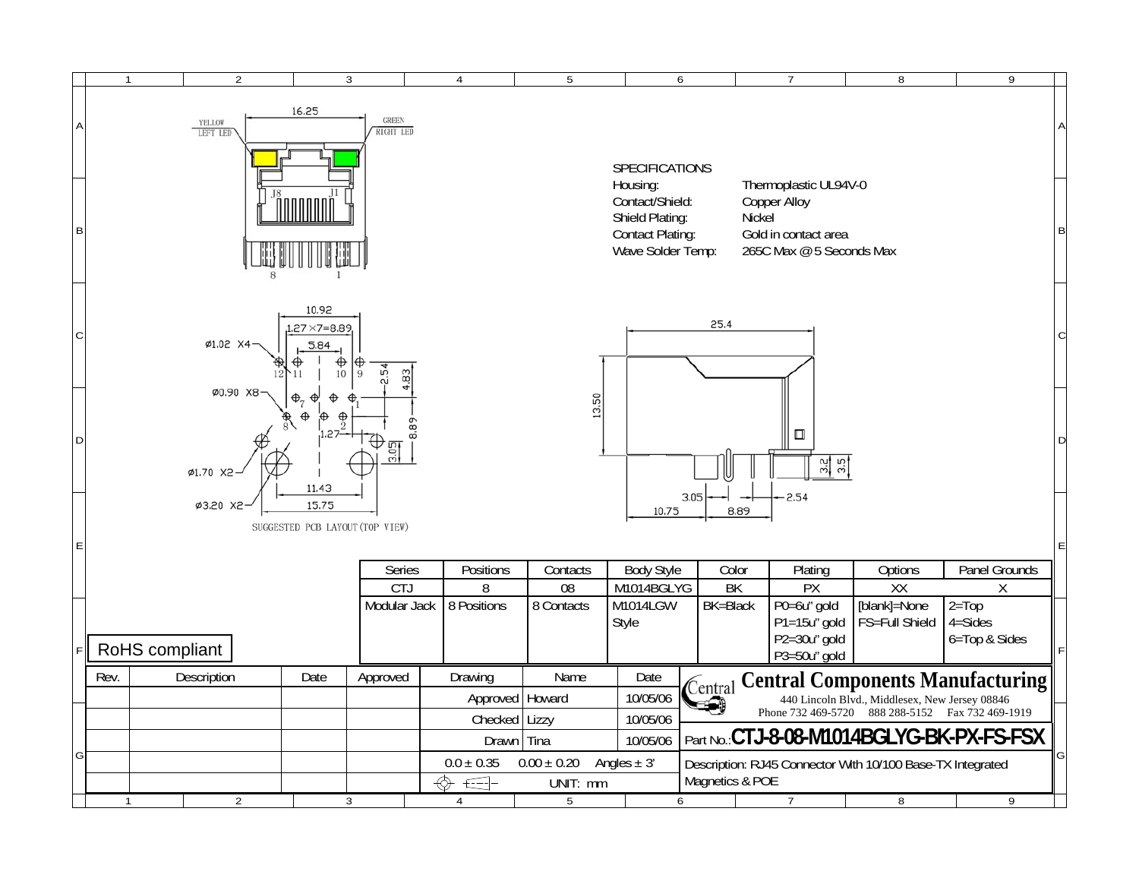|        | $\overline{2}$<br>$\mathbf{1}$ | $\overline{3}$                                                                                                                                                                                                                                                       |                  | $\overline{4}$    | 5          | 6                      |          | $\overline{7}$                                                   | $\, 8$                                           | 9                                         |   |
|--------|--------------------------------|----------------------------------------------------------------------------------------------------------------------------------------------------------------------------------------------------------------------------------------------------------------------|------------------|-------------------|------------|------------------------|----------|------------------------------------------------------------------|--------------------------------------------------|-------------------------------------------|---|
| A<br>B | YELLOW<br>LEFT LED             | 16.25<br><b>GREEN</b><br><b>RIGHT LED</b><br>SPECIFICATIONS<br>Thermoplastic UL94V-0<br>Housing:<br>Contact/Shield:<br>Copper Alloy<br>Shield Plating:<br>Nickel<br><b>Contact Plating:</b><br>Gold in contact area<br>Wave Solder Temp:<br>265C Max @ 5 Seconds Max |                  |                   |            |                        |          |                                                                  |                                                  |                                           | B |
| C      | Ø1.02 X4                       | 10.92<br>$.27 \times 7 = 8.89$<br>5.84<br>Œ<br>10                                                                                                                                                                                                                    | 19<br>4,83<br>۵ī |                   |            |                        | 25.4     |                                                                  |                                                  |                                           |   |
| D      | Ø1.70 X2                       | Ø0.90 X8-<br>⊕.,<br>13,50<br>⊕.<br>$\frac{1}{2}$<br>8.89<br>.27-<br>$\Box$<br>D<br>$rac{2.05}{\sqrt{2}}$<br><u>읽임</u><br>11.43<br>2.54<br>3.05<br>Ø3.20 X2<br>15.75<br>10.75<br>8.89<br>SUGGESTED PCB LAYOUT (TOP VIEW)<br>E                                         |                  |                   |            |                        |          |                                                                  |                                                  |                                           |   |
| E      |                                |                                                                                                                                                                                                                                                                      |                  |                   |            |                        |          |                                                                  |                                                  |                                           |   |
|        |                                |                                                                                                                                                                                                                                                                      | Series           | Positions         | Contacts   | <b>Body Style</b>      | Color    | Plating                                                          | Options                                          | Panel Grounds                             |   |
|        |                                |                                                                                                                                                                                                                                                                      | CTJ              | 8                 | 08         | M1014BGLYG<br>M1014LGW | BK       | $\overline{PX}$                                                  | $\overline{XX}$                                  | X                                         |   |
|        | RoHS compliant                 |                                                                                                                                                                                                                                                                      | Modular Jack     | 8 Positions       | 8 Contacts | Style                  | BK=Black | P0=6u" gold<br>P1=15u" gold<br>$P2 = 30u''$ gold<br>P3=50u" gold | [blank]=None<br>FS=Full Shield                   | $2 = Top$<br>$4 = Sides$<br>6=Top & Sides |   |
|        | Description<br>Rev.            | Date                                                                                                                                                                                                                                                                 | Approved         | Drawing           | Name       | Date                   | Central  |                                                                  |                                                  | <b>Central Components Manufacturing</b>   |   |
|        |                                |                                                                                                                                                                                                                                                                      |                  | Approved   Howard |            | 10/05/06               |          |                                                                  | 440 Lincoln Blvd., Middlesex, New Jersey 08846   |                                           |   |
|        |                                |                                                                                                                                                                                                                                                                      |                  | Checked   Lizzy   |            | 10/05/06               |          |                                                                  | Phone 732 469-5720 888 288-5152 Fax 732 469-1919 |                                           |   |
| G      |                                |                                                                                                                                                                                                                                                                      |                  | Drawn Tina        |            | 10/05/06               |          | Part No.: CTJ-8-08-M1014BGLYG-BK-PX-FS-FSX                       |                                                  |                                           |   |
|        |                                | $0.00 \pm 0.20$<br>$0.0 \pm 0.35$<br>Angles $\pm$ 3'<br>Description: RJ45 Connector With 10/100 Base-TX Integrated<br>Magnetics & POE<br>⊕<br>UNIT: mm<br>$\epsilon$ $\epsilon$                                                                                      |                  |                   |            |                        |          |                                                                  |                                                  |                                           |   |
|        | $\overline{2}$                 | 3                                                                                                                                                                                                                                                                    |                  | 4                 | 5          |                        | 6        | 7                                                                | 8                                                | 9                                         |   |